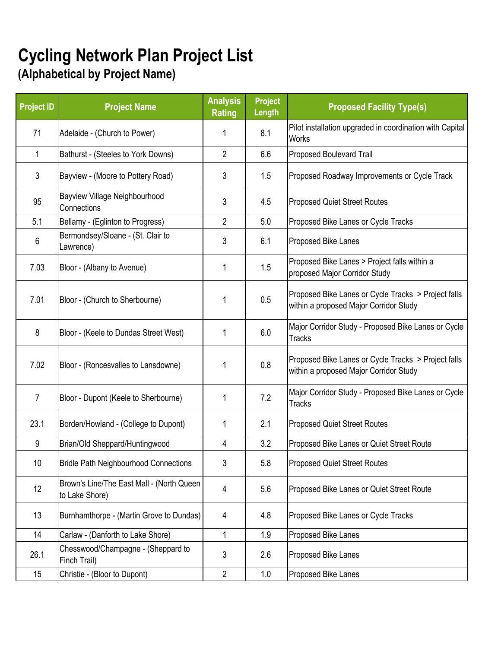## **Cycling Network Plan Project List**

## **(Alphabetical by Project Name)**

| <b>Project ID</b> | <b>Project Name</b>                                         | <b>Analysis</b><br><b>Rating</b> | <b>Project</b><br>Length | <b>Proposed Facility Type(s)</b>                                                              |
|-------------------|-------------------------------------------------------------|----------------------------------|--------------------------|-----------------------------------------------------------------------------------------------|
| 71                | Adelaide - (Church to Power)                                | 1                                | 8.1                      | Pilot installation upgraded in coordination with Capital<br><b>Works</b>                      |
| 1                 | Bathurst - (Steeles to York Downs)                          | $\overline{2}$                   | 6.6                      | Proposed Boulevard Trail                                                                      |
| 3                 | Bayview - (Moore to Pottery Road)                           | 3                                | 1.5                      | Proposed Roadway Improvements or Cycle Track                                                  |
| 95                | Bayview Village Neighbourhood<br>Connections                | 3                                | 4.5                      | <b>Proposed Quiet Street Routes</b>                                                           |
| 5.1               | Bellamy - (Eglinton to Progress)                            | $\overline{2}$                   | 5.0                      | Proposed Bike Lanes or Cycle Tracks                                                           |
| 6                 | Bermondsey/Sloane - (St. Clair to<br>Lawrence)              | 3                                | 6.1                      | Proposed Bike Lanes                                                                           |
| 7.03              | Bloor - (Albany to Avenue)                                  | 1                                | 1.5                      | Proposed Bike Lanes > Project falls within a<br>proposed Major Corridor Study                 |
| 7.01              | Bloor - (Church to Sherbourne)                              | 1                                | 0.5                      | Proposed Bike Lanes or Cycle Tracks > Project falls<br>within a proposed Major Corridor Study |
| 8                 | Bloor - (Keele to Dundas Street West)                       | 1                                | 6.0                      | Major Corridor Study - Proposed Bike Lanes or Cycle<br><b>Tracks</b>                          |
| 7.02              | Bloor - (Roncesvalles to Lansdowne)                         | 1                                | 0.8                      | Proposed Bike Lanes or Cycle Tracks > Project falls<br>within a proposed Major Corridor Study |
| $\overline{7}$    | Bloor - Dupont (Keele to Sherbourne)                        | 1                                | 7.2                      | Major Corridor Study - Proposed Bike Lanes or Cycle<br><b>Tracks</b>                          |
| 23.1              | Borden/Howland - (College to Dupont)                        | 1                                | 2.1                      | <b>Proposed Quiet Street Routes</b>                                                           |
| 9                 | Brian/Old Sheppard/Huntingwood                              | 4                                | 3.2                      | Proposed Bike Lanes or Quiet Street Route                                                     |
| 10                | <b>Bridle Path Neighbourhood Connections</b>                | 3                                | 5.8                      | Proposed Quiet Street Routes                                                                  |
| 12                | Brown's Line/The East Mall - (North Queen<br>to Lake Shore) | 4                                | 5.6                      | Proposed Bike Lanes or Quiet Street Route                                                     |
| 13                | Burnhamthorpe - (Martin Grove to Dundas)                    | 4                                | 4.8                      | Proposed Bike Lanes or Cycle Tracks                                                           |
| 14                | Carlaw - (Danforth to Lake Shore)                           | $\mathbf{1}$                     | 1.9                      | Proposed Bike Lanes                                                                           |
| 26.1              | Chesswood/Champagne - (Sheppard to<br>Finch Trail)          | 3                                | 2.6                      | Proposed Bike Lanes                                                                           |
| 15                | Christie - (Bloor to Dupont)                                | $\overline{2}$                   | 1.0                      | Proposed Bike Lanes                                                                           |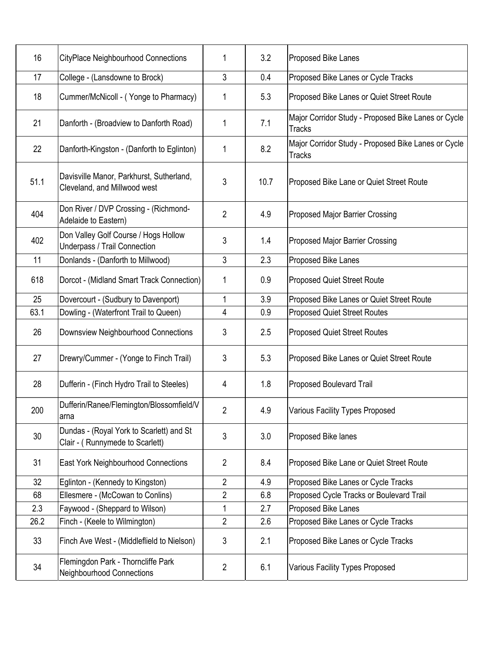| 16   | <b>CityPlace Neighbourhood Connections</b>                                  | 1              | 3.2  | Proposed Bike Lanes                                                  |
|------|-----------------------------------------------------------------------------|----------------|------|----------------------------------------------------------------------|
| 17   | College - (Lansdowne to Brock)                                              | 3              | 0.4  | Proposed Bike Lanes or Cycle Tracks                                  |
| 18   | Cummer/McNicoll - (Yonge to Pharmacy)                                       | 1              | 5.3  | Proposed Bike Lanes or Quiet Street Route                            |
| 21   | Danforth - (Broadview to Danforth Road)                                     | 1              | 7.1  | Major Corridor Study - Proposed Bike Lanes or Cycle<br><b>Tracks</b> |
| 22   | Danforth-Kingston - (Danforth to Eglinton)                                  | 1              | 8.2  | Major Corridor Study - Proposed Bike Lanes or Cycle<br><b>Tracks</b> |
| 51.1 | Davisville Manor, Parkhurst, Sutherland,<br>Cleveland, and Millwood west    | 3              | 10.7 | Proposed Bike Lane or Quiet Street Route                             |
| 404  | Don River / DVP Crossing - (Richmond-<br>Adelaide to Eastern)               | $\overline{2}$ | 4.9  | Proposed Major Barrier Crossing                                      |
| 402  | Don Valley Golf Course / Hogs Hollow<br>Underpass / Trail Connection        | 3              | 1.4  | <b>Proposed Major Barrier Crossing</b>                               |
| 11   | Donlands - (Danforth to Millwood)                                           | 3              | 2.3  | Proposed Bike Lanes                                                  |
| 618  | Dorcot - (Midland Smart Track Connection)                                   | 1              | 0.9  | <b>Proposed Quiet Street Route</b>                                   |
| 25   | Dovercourt - (Sudbury to Davenport)                                         | 1              | 3.9  | Proposed Bike Lanes or Quiet Street Route                            |
| 63.1 | Dowling - (Waterfront Trail to Queen)                                       | 4              | 0.9  | <b>Proposed Quiet Street Routes</b>                                  |
| 26   | Downsview Neighbourhood Connections                                         | 3              | 2.5  | <b>Proposed Quiet Street Routes</b>                                  |
| 27   | Drewry/Cummer - (Yonge to Finch Trail)                                      | 3              | 5.3  | Proposed Bike Lanes or Quiet Street Route                            |
| 28   | Dufferin - (Finch Hydro Trail to Steeles)                                   | 4              | 1.8  | Proposed Boulevard Trail                                             |
| 200  | Dufferin/Ranee/Flemington/Blossomfield/V<br>arna                            | $\overline{2}$ | 4.9  | Various Facility Types Proposed                                      |
| 30   | Dundas - (Royal York to Scarlett) and St<br>Clair - (Runnymede to Scarlett) | 3              | 3.0  | Proposed Bike lanes                                                  |
| 31   | East York Neighbourhood Connections                                         | $\overline{2}$ | 8.4  | Proposed Bike Lane or Quiet Street Route                             |
| 32   | Eglinton - (Kennedy to Kingston)                                            | $\overline{2}$ | 4.9  | Proposed Bike Lanes or Cycle Tracks                                  |
| 68   | Ellesmere - (McCowan to Conlins)                                            | $\overline{2}$ | 6.8  | Proposed Cycle Tracks or Boulevard Trail                             |
| 2.3  | Faywood - (Sheppard to Wilson)                                              | 1              | 2.7  | Proposed Bike Lanes                                                  |
| 26.2 | Finch - (Keele to Wilmington)                                               | $\overline{2}$ | 2.6  | Proposed Bike Lanes or Cycle Tracks                                  |
| 33   | Finch Ave West - (Middleflield to Nielson)                                  | 3              | 2.1  | Proposed Bike Lanes or Cycle Tracks                                  |
| 34   | Flemingdon Park - Thorncliffe Park<br><b>Neighbourhood Connections</b>      | $\overline{2}$ | 6.1  | Various Facility Types Proposed                                      |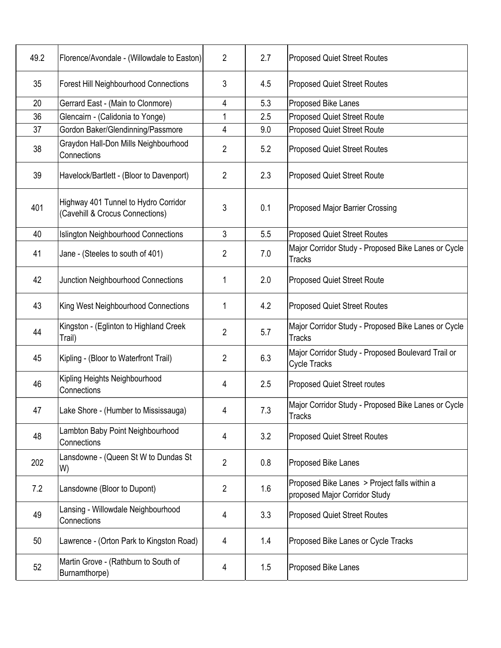| 49.2 | Florence/Avondale - (Willowdale to Easton)                              | $\overline{2}$ | 2.7 | <b>Proposed Quiet Street Routes</b>                                           |
|------|-------------------------------------------------------------------------|----------------|-----|-------------------------------------------------------------------------------|
| 35   | <b>Forest Hill Neighbourhood Connections</b>                            | 3              | 4.5 | <b>Proposed Quiet Street Routes</b>                                           |
| 20   | Gerrard East - (Main to Clonmore)                                       | 4              | 5.3 | Proposed Bike Lanes                                                           |
| 36   | Glencairn - (Calidonia to Yonge)                                        | 1              | 2.5 | <b>Proposed Quiet Street Route</b>                                            |
| 37   | Gordon Baker/Glendinning/Passmore                                       | 4              | 9.0 | <b>Proposed Quiet Street Route</b>                                            |
| 38   | Graydon Hall-Don Mills Neighbourhood<br>Connections                     | 2              | 5.2 | <b>Proposed Quiet Street Routes</b>                                           |
| 39   | Havelock/Bartlett - (Bloor to Davenport)                                | $\overline{2}$ | 2.3 | <b>Proposed Quiet Street Route</b>                                            |
| 401  | Highway 401 Tunnel to Hydro Corridor<br>(Cavehill & Crocus Connections) | 3              | 0.1 | <b>Proposed Major Barrier Crossing</b>                                        |
| 40   | <b>Islington Neighbourhood Connections</b>                              | 3              | 5.5 | <b>Proposed Quiet Street Routes</b>                                           |
| 41   | Jane - (Steeles to south of 401)                                        | $\overline{2}$ | 7.0 | Major Corridor Study - Proposed Bike Lanes or Cycle<br><b>Tracks</b>          |
| 42   | Junction Neighbourhood Connections                                      | 1              | 2.0 | <b>Proposed Quiet Street Route</b>                                            |
| 43   | King West Neighbourhood Connections                                     | 1              | 4.2 | <b>Proposed Quiet Street Routes</b>                                           |
| 44   | Kingston - (Eglinton to Highland Creek<br>Trail)                        | $\overline{2}$ | 5.7 | Major Corridor Study - Proposed Bike Lanes or Cycle<br><b>Tracks</b>          |
| 45   | Kipling - (Bloor to Waterfront Trail)                                   | $\overline{2}$ | 6.3 | Major Corridor Study - Proposed Boulevard Trail or<br><b>Cycle Tracks</b>     |
| 46   | Kipling Heights Neighbourhood<br>Connections                            | 4              | 2.5 | <b>Proposed Quiet Street routes</b>                                           |
| 47   | Lake Shore - (Humber to Mississauga)                                    | 4              | 7.3 | Major Corridor Study - Proposed Bike Lanes or Cycle<br><b>Tracks</b>          |
| 48   | Lambton Baby Point Neighbourhood<br>Connections                         | 4              | 3.2 | <b>Proposed Quiet Street Routes</b>                                           |
| 202  | Lansdowne - (Queen St W to Dundas St<br>W)                              | $\overline{2}$ | 0.8 | Proposed Bike Lanes                                                           |
| 7.2  | Lansdowne (Bloor to Dupont)                                             | $\overline{2}$ | 1.6 | Proposed Bike Lanes > Project falls within a<br>proposed Major Corridor Study |
| 49   | Lansing - Willowdale Neighbourhood<br>Connections                       | 4              | 3.3 | <b>Proposed Quiet Street Routes</b>                                           |
| 50   | Lawrence - (Orton Park to Kingston Road)                                | 4              | 1.4 | Proposed Bike Lanes or Cycle Tracks                                           |
| 52   | Martin Grove - (Rathburn to South of<br>Burnamthorpe)                   | 4              | 1.5 | Proposed Bike Lanes                                                           |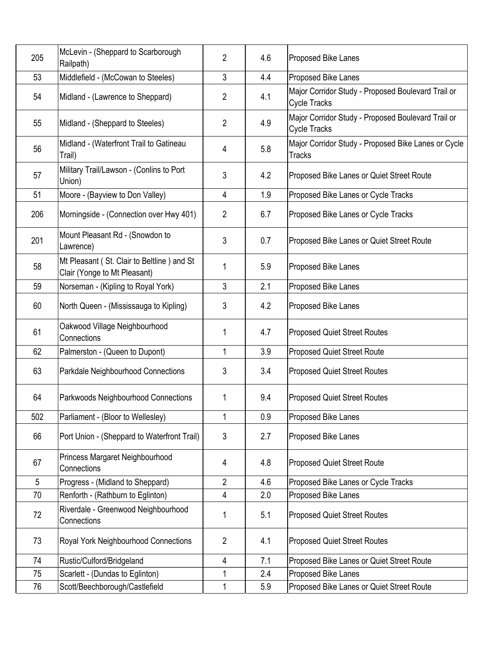| 205 | McLevin - (Sheppard to Scarborough<br>Railpath)                            | $\overline{2}$ | 4.6 | Proposed Bike Lanes                                                       |
|-----|----------------------------------------------------------------------------|----------------|-----|---------------------------------------------------------------------------|
| 53  | Middlefield - (McCowan to Steeles)                                         | 3              | 4.4 | Proposed Bike Lanes                                                       |
| 54  | Midland - (Lawrence to Sheppard)                                           | $\overline{2}$ | 4.1 | Major Corridor Study - Proposed Boulevard Trail or<br><b>Cycle Tracks</b> |
| 55  | Midland - (Sheppard to Steeles)                                            | $\overline{2}$ | 4.9 | Major Corridor Study - Proposed Boulevard Trail or<br><b>Cycle Tracks</b> |
| 56  | Midland - (Waterfront Trail to Gatineau<br>Trail)                          | 4              | 5.8 | Major Corridor Study - Proposed Bike Lanes or Cycle<br><b>Tracks</b>      |
| 57  | Military Trail/Lawson - (Conlins to Port<br>Union)                         | 3              | 4.2 | Proposed Bike Lanes or Quiet Street Route                                 |
| 51  | Moore - (Bayview to Don Valley)                                            | 4              | 1.9 | Proposed Bike Lanes or Cycle Tracks                                       |
| 206 | Morningside - (Connection over Hwy 401)                                    | $\overline{2}$ | 6.7 | Proposed Bike Lanes or Cycle Tracks                                       |
| 201 | Mount Pleasant Rd - (Snowdon to<br>Lawrence)                               | 3              | 0.7 | Proposed Bike Lanes or Quiet Street Route                                 |
| 58  | Mt Pleasant (St. Clair to Beltline) and St<br>Clair (Yonge to Mt Pleasant) | 1              | 5.9 | Proposed Bike Lanes                                                       |
| 59  | Norseman - (Kipling to Royal York)                                         | 3              | 2.1 | Proposed Bike Lanes                                                       |
| 60  | North Queen - (Mississauga to Kipling)                                     | 3              | 4.2 | Proposed Bike Lanes                                                       |
| 61  | Oakwood Village Neighbourhood<br>Connections                               | 1              | 4.7 | <b>Proposed Quiet Street Routes</b>                                       |
| 62  | Palmerston - (Queen to Dupont)                                             | 1              | 3.9 | <b>Proposed Quiet Street Route</b>                                        |
| 63  | Parkdale Neighbourhood Connections                                         | 3              | 3.4 | <b>Proposed Quiet Street Routes</b>                                       |
| 64  | Parkwoods Neighbourhood Connections                                        | 1              | 9.4 | <b>Proposed Quiet Street Routes</b>                                       |
| 502 | Parliament - (Bloor to Wellesley)                                          | 1              | 0.9 | Proposed Bike Lanes                                                       |
| 66  | Port Union - (Sheppard to Waterfront Trail)                                | 3              | 2.7 | Proposed Bike Lanes                                                       |
| 67  | Princess Margaret Neighbourhood<br>Connections                             | 4              | 4.8 | <b>Proposed Quiet Street Route</b>                                        |
| 5   | Progress - (Midland to Sheppard)                                           | $\overline{2}$ | 4.6 | Proposed Bike Lanes or Cycle Tracks                                       |
| 70  | Renforth - (Rathburn to Eglinton)                                          | 4              | 2.0 | Proposed Bike Lanes                                                       |
| 72  | Riverdale - Greenwood Neighbourhood<br>Connections                         | 1              | 5.1 | <b>Proposed Quiet Street Routes</b>                                       |
| 73  | Royal York Neighbourhood Connections                                       | $\overline{2}$ | 4.1 | <b>Proposed Quiet Street Routes</b>                                       |
| 74  | Rustic/Culford/Bridgeland                                                  | 4              | 7.1 | Proposed Bike Lanes or Quiet Street Route                                 |
| 75  | Scarlett - (Dundas to Eglinton)                                            | 1              | 2.4 | Proposed Bike Lanes                                                       |
| 76  | Scott/Beechborough/Castlefield                                             | 1              | 5.9 | Proposed Bike Lanes or Quiet Street Route                                 |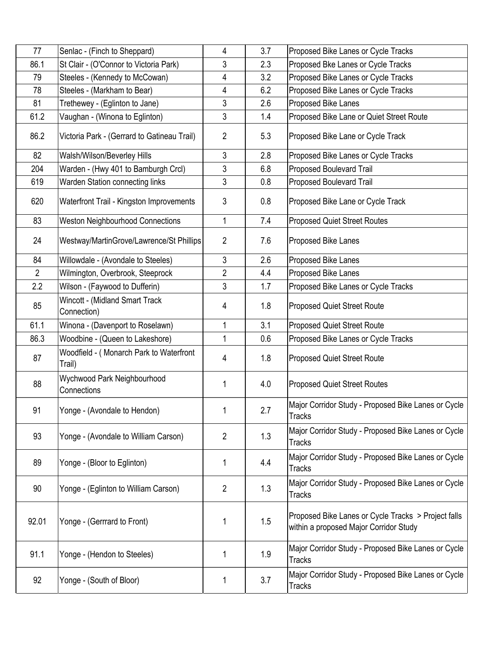| 77             |                                                                        | 4              | 3.7 | Proposed Bike Lanes or Cycle Tracks                                                           |
|----------------|------------------------------------------------------------------------|----------------|-----|-----------------------------------------------------------------------------------------------|
| 86.1           | Senlac - (Finch to Sheppard)<br>St Clair - (O'Connor to Victoria Park) | 3              | 2.3 |                                                                                               |
| 79             |                                                                        |                | 3.2 | Proposed Bke Lanes or Cycle Tracks                                                            |
| 78             | Steeles - (Kennedy to McCowan)                                         | 4              | 6.2 | Proposed Bike Lanes or Cycle Tracks<br>Proposed Bike Lanes or Cycle Tracks                    |
|                | Steeles - (Markham to Bear)                                            | 4              |     |                                                                                               |
| 81             | Trethewey - (Eglinton to Jane)                                         | 3              | 2.6 | Proposed Bike Lanes                                                                           |
| 61.2           | Vaughan - (Winona to Eglinton)                                         | 3              | 1.4 | Proposed Bike Lane or Quiet Street Route                                                      |
| 86.2           | Victoria Park - (Gerrard to Gatineau Trail)                            | $\overline{2}$ | 5.3 | Proposed Bike Lane or Cycle Track                                                             |
| 82             | Walsh/Wilson/Beverley Hills                                            | $\mathfrak{Z}$ | 2.8 | Proposed Bike Lanes or Cycle Tracks                                                           |
| 204            | Warden - (Hwy 401 to Bamburgh Crcl)                                    | 3              | 6.8 | <b>Proposed Boulevard Trail</b>                                                               |
| 619            | Warden Station connecting links                                        | 3              | 0.8 | <b>Proposed Boulevard Trail</b>                                                               |
| 620            | Waterfront Trail - Kingston Improvements                               | 3              | 0.8 | Proposed Bike Lane or Cycle Track                                                             |
| 83             | <b>Weston Neighbourhood Connections</b>                                | 1              | 7.4 | <b>Proposed Quiet Street Routes</b>                                                           |
| 24             | Westway/MartinGrove/Lawrence/St Phillips                               | $\overline{2}$ | 7.6 | Proposed Bike Lanes                                                                           |
| 84             | Willowdale - (Avondale to Steeles)                                     | 3              | 2.6 | Proposed Bike Lanes                                                                           |
| $\overline{2}$ | Wilmington, Overbrook, Steeprock                                       | 2              | 4.4 | Proposed Bike Lanes                                                                           |
| 2.2            | Wilson - (Faywood to Dufferin)                                         | 3              | 1.7 | Proposed Bike Lanes or Cycle Tracks                                                           |
| 85             | Wincott - (Midland Smart Track<br>Connection)                          | 4              | 1.8 | Proposed Quiet Street Route                                                                   |
| 61.1           | Winona - (Davenport to Roselawn)                                       | 1              | 3.1 | <b>Proposed Quiet Street Route</b>                                                            |
| 86.3           | Woodbine - (Queen to Lakeshore)                                        | 1              | 0.6 | Proposed Bike Lanes or Cycle Tracks                                                           |
| 87             | Woodfield - (Monarch Park to Waterfront<br>Trail)                      | 4              | 1.8 | Proposed Quiet Street Route                                                                   |
| 88             | Wychwood Park Neighbourhood<br>Connections                             | 1              | 4.0 | <b>Proposed Quiet Street Routes</b>                                                           |
| 91             | Yonge - (Avondale to Hendon)                                           | 1              | 2.7 | Major Corridor Study - Proposed Bike Lanes or Cycle<br><b>Tracks</b>                          |
| 93             | Yonge - (Avondale to William Carson)                                   | $\overline{2}$ | 1.3 | Major Corridor Study - Proposed Bike Lanes or Cycle<br><b>Tracks</b>                          |
| 89             | Yonge - (Bloor to Eglinton)                                            | 1              | 4.4 | Major Corridor Study - Proposed Bike Lanes or Cycle<br><b>Tracks</b>                          |
| 90             | Yonge - (Eglinton to William Carson)                                   | $\overline{2}$ | 1.3 | Major Corridor Study - Proposed Bike Lanes or Cycle<br><b>Tracks</b>                          |
| 92.01          | Yonge - (Gerrrard to Front)                                            | 1              | 1.5 | Proposed Bike Lanes or Cycle Tracks > Project falls<br>within a proposed Major Corridor Study |
| 91.1           | Yonge - (Hendon to Steeles)                                            | 1              | 1.9 | Major Corridor Study - Proposed Bike Lanes or Cycle<br><b>Tracks</b>                          |
| 92             | Yonge - (South of Bloor)                                               | 1              | 3.7 | Major Corridor Study - Proposed Bike Lanes or Cycle<br><b>Tracks</b>                          |